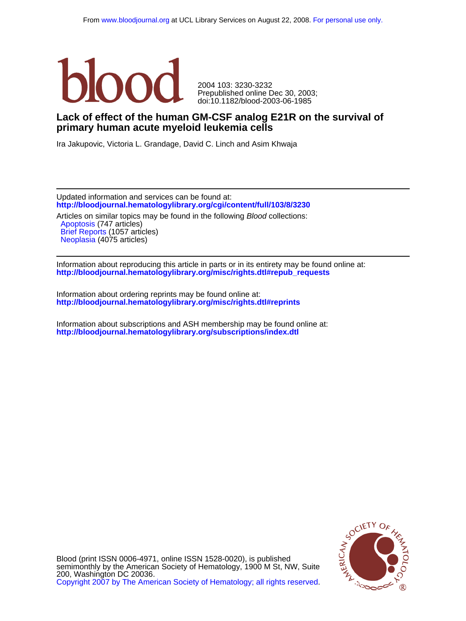

doi:10.1182/blood-2003-06-1985 Prepublished online Dec 30, 2003; 2004 103: 3230-3232

## **primary human acute myeloid leukemia cells Lack of effect of the human GM-CSF analog E21R on the survival of**

Ira Jakupovic, Victoria L. Grandage, David C. Linch and Asim Khwaja

**<http://bloodjournal.hematologylibrary.org/cgi/content/full/103/8/3230>** Updated information and services can be found at:

[Neoplasia](http://bloodjournal.hematologylibrary.org/cgi/collection/neoplasia) (4075 articles) [Brief Reports](http://bloodjournal.hematologylibrary.org/cgi/collection/brief_reports) (1057 articles) [Apoptosis](http://bloodjournal.hematologylibrary.org/cgi/collection/apoptosis) (747 articles) Articles on similar topics may be found in the following Blood collections:

**[http://bloodjournal.hematologylibrary.org/misc/rights.dtl#repub\\_requests](http://bloodjournal.hematologylibrary.org/misc/rights.dtl#repub_requests)** Information about reproducing this article in parts or in its entirety may be found online at:

**<http://bloodjournal.hematologylibrary.org/misc/rights.dtl#reprints>** Information about ordering reprints may be found online at:

**<http://bloodjournal.hematologylibrary.org/subscriptions/index.dtl>** Information about subscriptions and ASH membership may be found online at:



[Copyright 2007 by The American Society of Hematology; all rights reserved.](http://bloodjournal.hematologylibrary.org/subscriptions/ToS.dtl) 200, Washington DC 20036. semimonthly by the American Society of Hematology, 1900 M St, NW, Suite Blood (print ISSN 0006-4971, online ISSN 1528-0020), is published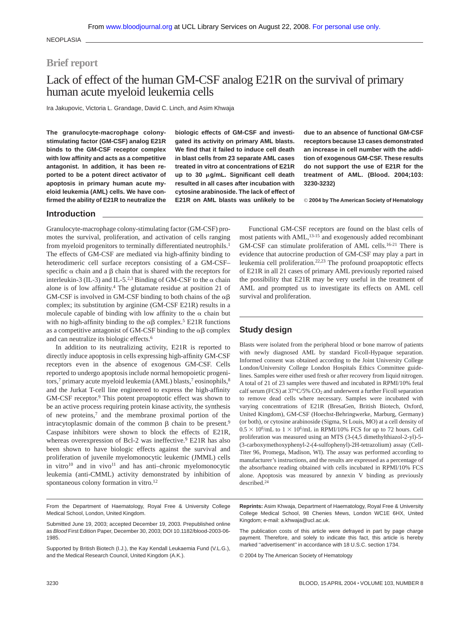NEOPLASIA

## **Brief report**

# Lack of effect of the human GM-CSF analog E21R on the survival of primary human acute myeloid leukemia cells

Ira Jakupovic, Victoria L. Grandage, David C. Linch, and Asim Khwaja

**The granulocyte-macrophage colonystimulating factor (GM-CSF) analog E21R binds to the GM-CSF receptor complex with low affinity and acts as a competitive antagonist. In addition, it has been reported to be a potent direct activator of apoptosis in primary human acute myeloid leukemia (AML) cells. We have confirmed the ability of E21R to neutralize the**

**biologic effects of GM-CSF and investigated its activity on primary AML blasts. We find that it failed to induce cell death in blast cells from 23 separate AML cases treated in vitro at concentrations of E21R up to 30 g/mL. Significant cell death resulted in all cases after incubation with cytosine arabinoside. The lack of effect of E21R on AML blasts was unlikely to be**

**due to an absence of functional GM-CSF receptors because 13 cases demonstrated an increase in cell number with the addition of exogenous GM-CSF. These results do not support the use of E21R for the treatment of AML. (Blood. 2004;103: 3230-3232)**

© **2004 by The American Society of Hematology**

#### **Introduction**

Granulocyte-macrophage colony-stimulating factor (GM-CSF) promotes the survival, proliferation, and activation of cells ranging from myeloid progenitors to terminally differentiated neutrophils.<sup>1</sup> The effects of GM-CSF are mediated via high-affinity binding to heterodimeric cell surface receptors consisting of a GM-CSF– specific  $\alpha$  chain and a  $\beta$  chain that is shared with the receptors for interleukin-3 (IL-3) and IL-5.<sup>2,3</sup> Binding of GM-CSF to the  $\alpha$  chain alone is of low affinity.4 The glutamate residue at position 21 of GM-CSF is involved in GM-CSF binding to both chains of the  $\alpha\beta$ complex; its substitution by arginine (GM-CSF E21R) results in a molecule capable of binding with low affinity to the  $\alpha$  chain but with no high-affinity binding to the  $\alpha\beta$  complex.<sup>5</sup> E21R functions as a competitive antagonist of GM-CSF binding to the  $\alpha\beta$  complex and can neutralize its biologic effects.6

In addition to its neutralizing activity, E21R is reported to directly induce apoptosis in cells expressing high-affinity GM-CSF receptors even in the absence of exogenous GM-CSF. Cells reported to undergo apoptosis include normal hemopoietic progenitors,<sup>7</sup> primary acute myeloid leukemia (AML) blasts,<sup>7</sup> eosinophils,<sup>8</sup> and the Jurkat T-cell line engineered to express the high-affinity GM-CSF receptor.9 This potent proapoptotic effect was shown to be an active process requiring protein kinase activity, the synthesis of new proteins,7 and the membrane proximal portion of the intracytoplasmic domain of the common  $\beta$  chain to be present.<sup>9</sup> Caspase inhibitors were shown to block the effects of E21R, whereas overexpression of Bcl-2 was ineffective.<sup>9</sup> E21R has also been shown to have biologic effects against the survival and proliferation of juvenile myelomonocytic leukemic (JMML) cells in vitro $10$  and in vivo $11$  and has anti-chronic myelomonocytic leukemia (anti-CMML) activity demonstrated by inhibition of spontaneous colony formation in vitro.<sup>12</sup>

Functional GM-CSF receptors are found on the blast cells of most patients with AML,<sup>13-15</sup> and exogenously added recombinant GM-CSF can stimulate proliferation of AML cells.16-21 There is evidence that autocrine production of GM-CSF may play a part in leukemia cell proliferation.22,23 The profound proapoptotic effects of E21R in all 21 cases of primary AML previously reported raised the possibility that E21R may be very useful in the treatment of AML and prompted us to investigate its effects on AML cell survival and proliferation.

### **Study design**

Blasts were isolated from the peripheral blood or bone marrow of patients with newly diagnosed AML by standard Ficoll-Hypaque separation. Informed consent was obtained according to the Joint University College London/University College London Hospitals Ethics Committee guidelines. Samples were either used fresh or after recovery from liquid nitrogen. A total of 21 of 23 samples were thawed and incubated in RPMI/10% fetal calf serum (FCS) at 37°C/5%  $CO<sub>2</sub>$  and underwent a further Ficoll separation to remove dead cells where necessary. Samples were incubated with varying concentrations of E21R (BresaGen, British Biotech, Oxford, United Kingdom), GM-CSF (Hoechst-Behringwerke, Marburg, Germany) (or both), or cytosine arabinoside (Sigma, St Louis, MO) at a cell density of  $0.5 \times 10^6$ /mL to  $1 \times 10^6$ /mL in RPMI/10% FCS for up to 72 hours. Cell proliferation was measured using an MTS (3-(4,5 dimethylthiazol-2-yl)-5- (3-carboxymethoxyphenyl-2-(4-sulfophenyl)-2H-tetrazolium) assay (Cell-Titer 96, Promega, Madison, WI). The assay was performed according to manufacturer's instructions, and the results are expressed as a percentage of the absorbance reading obtained with cells incubated in RPMI/10% FCS alone. Apoptosis was measured by annexin V binding as previously described.24

From the Department of Haematology, Royal Free & University College Medical School, London, United Kingdom.

**Reprints:** Asim Khwaja, Department of Haematology, Royal Free & University College Medical School, 98 Chenies Mews, London WC1E 6HX, United Kingdom; e-mail: a.khwaja@ucl.ac.uk.

The publication costs of this article were defrayed in part by page charge payment. Therefore, and solely to indicate this fact, this article is hereby marked "advertisement" in accordance with 18 U.S.C. section 1734.

© 2004 by The American Society of Hematology

Submitted June 19, 2003; accepted December 19, 2003. Prepublished online as Blood First Edition Paper, December 30, 2003; DOI 10.1182/blood-2003-06- 1985.

Supported by British Biotech (I.J.), the Kay Kendall Leukaemia Fund (V.L.G.), and the Medical Research Council, United Kingdom (A.K.).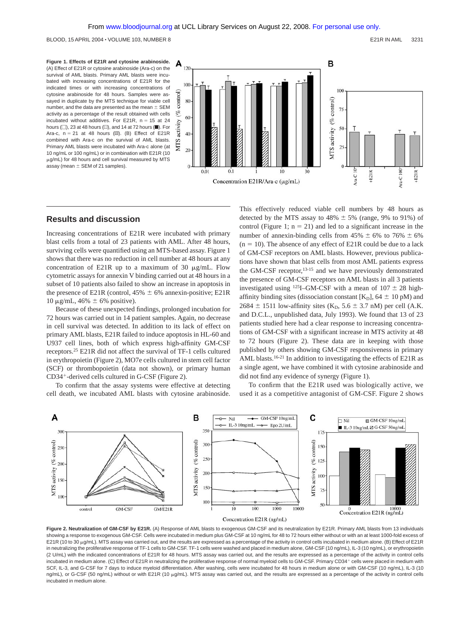**Figure 1. Effects of E21R and cytosine arabinoside.** (A) Effect of E21R or cytosine arabinoside (Ara-c) on the survival of AML blasts. Primary AML blasts were incubated with increasing concentrations of E21R for the indicated times or with increasing concentrations of cytosine arabinoside for 48 hours. Samples were assayed in duplicate by the MTS technique for viable cell number, and the data are presented as the mean  $\pm$  SEM activity as a percentage of the result obtained with cells incubated without additives. For E21R,  $n = 15$  at 24 hours  $(\Box)$ , 23 at 48 hours  $(\Box)$ , and 14 at 72 hours  $(\blacksquare)$ . For Ara-c,  $n = 21$  at 48 hours ( $\mathbb{Z}$ ). (B) Effect of E21R combined with Ara-c on the survival of AML blasts. Primary AML blasts were incubated with Ara-c alone (at 10 ng/mL or 100 ng/mL) or in combination with E21R (10  $\mu$ g/mL) for 48 hours and cell survival measured by MTS assay (mean  $\pm$  SEM of 21 samples).



#### **Results and discussion**

Increasing concentrations of E21R were incubated with primary blast cells from a total of 23 patients with AML. After 48 hours, surviving cells were quantified using an MTS-based assay. Figure 1 shows that there was no reduction in cell number at 48 hours at any concentration of E21R up to a maximum of 30  $\mu$ g/mL. Flow cytometric assays for annexin V binding carried out at 48 hours in a subset of 10 patients also failed to show an increase in apoptosis in the presence of E21R (control,  $45\% \pm 6\%$  annexin-positive; E21R 10 μg/mL, 46%  $\pm$  6% positive).

Because of these unexpected findings, prolonged incubation for 72 hours was carried out in 14 patient samples. Again, no decrease in cell survival was detected. In addition to its lack of effect on primary AML blasts, E21R failed to induce apoptosis in HL-60 and U937 cell lines, both of which express high-affinity GM-CSF receptors.25 E21R did not affect the survival of TF-1 cells cultured in erythropoietin (Figure 2), MO7e cells cultured in stem cell factor (SCF) or thrombopoietin (data not shown), or primary human CD34-derived cells cultured in G-CSF (Figure 2).

To confirm that the assay systems were effective at detecting cell death, we incubated AML blasts with cytosine arabinoside.

This effectively reduced viable cell numbers by 48 hours as detected by the MTS assay to  $48\% \pm 5\%$  (range, 9% to 91%) of control (Figure 1;  $n = 21$ ) and led to a significant increase in the number of annexin-binding cells from  $45\% \pm 6\%$  to  $76\% \pm 6\%$  $(n = 10)$ . The absence of any effect of E21R could be due to a lack of GM-CSF receptors on AML blasts. However, previous publications have shown that blast cells from most AML patients express the GM-CSF receptor,13-15 and we have previously demonstrated the presence of GM-CSF receptors on AML blasts in all 3 patients investigated using <sup>125</sup>I–GM-CSF with a mean of  $107 \pm 28$  highaffinity binding sites (dissociation constant [K<sub>D</sub>], 64  $\pm$  10 pM) and 2684  $\pm$  1511 low-affinity sites (K<sub>D</sub>, 5.6  $\pm$  3.7 nM) per cell (A.K. and D.C.L., unpublished data, July 1993). We found that 13 of 23 patients studied here had a clear response to increasing concentrations of GM-CSF with a significant increase in MTS activity at 48 to 72 hours (Figure 2). These data are in keeping with those published by others showing GM-CSF responsiveness in primary AML blasts.16-21 In addition to investigating the effects of E21R as a single agent, we have combined it with cytosine arabinoside and did not find any evidence of synergy (Figure 1).

To confirm that the E21R used was biologically active, we used it as a competitive antagonist of GM-CSF. Figure 2 shows



Figure 2. Neutralization of GM-CSF by E21R. (A) Response of AML blasts to exogenous GM-CSF and its neutralization by E21R. Primary AML blasts from 13 individuals showing a response to exogenous GM-CSF. Cells were incubated in medium plus GM-CSF at 10 ng/mL for 48 to 72 hours either without or with an at least 1000-fold excess of E21R (10 to 30 μg/mL). MTS assay was carried out, and the results are expressed as a percentage of the activity in control cells incubated in medium alone. (B) Effect of E21R in neutralizing the proliferative response of TF-1 cells to GM-CSF. TF-1 cells were washed and placed in medium alone, GM-CSF (10 ng/mL), IL-3 (10 ng/mL), or erythropoietin (2 U/mL) with the indicated concentrations of E21R for 48 hours. MTS assay was carried out, and the results are expressed as a percentage of the activity in control cells incubated in medium alone. (C) Effect of E21R in neutralizing the proliferative response of normal myeloid cells to GM-CSF. Primary CD34+ cells were placed in medium with SCF, IL-3, and G-CSF for 7 days to induce myeloid differentiation. After washing, cells were incubated for 48 hours in medium alone or with GM-CSF (10 ng/mL), IL-3 (10 ng/mL), or G-CSF (50 ng/mL) without or with E21R (10  $\mu$ g/mL). MTS assay was carried out, and the results are expressed as a percentage of the activity in control cells incubated in medium alone.